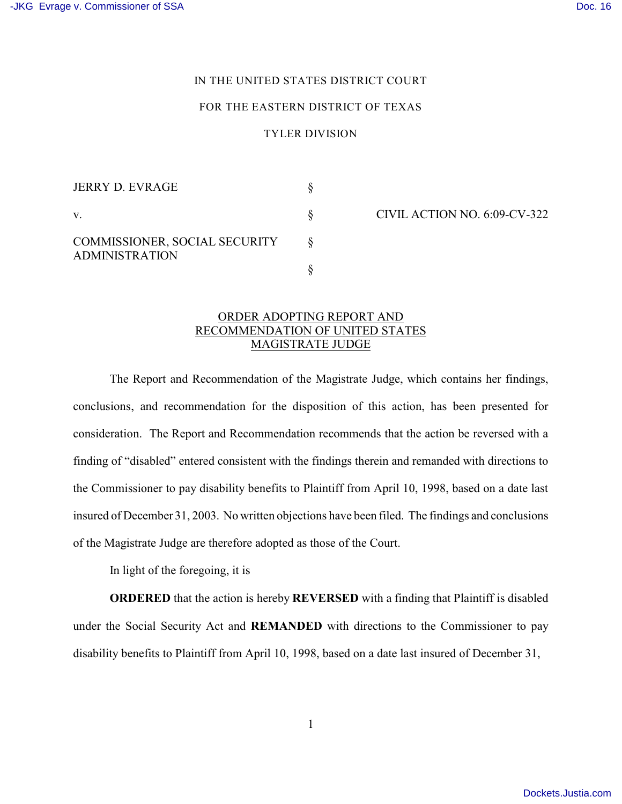## IN THE UNITED STATES DISTRICT COURT

#### FOR THE EASTERN DISTRICT OF TEXAS

### TYLER DIVISION

| JERRY D. EVRAGE                                        |  |
|--------------------------------------------------------|--|
| $V_{-}$                                                |  |
| COMMISSIONER, SOCIAL SECURITY<br><b>ADMINISTRATION</b> |  |
|                                                        |  |

CIVIL ACTION NO. 6:09-CV-322

## ORDER ADOPTING REPORT AND RECOMMENDATION OF UNITED STATES MAGISTRATE JUDGE

The Report and Recommendation of the Magistrate Judge, which contains her findings, conclusions, and recommendation for the disposition of this action, has been presented for consideration. The Report and Recommendation recommends that the action be reversed with a finding of "disabled" entered consistent with the findings therein and remanded with directions to the Commissioner to pay disability benefits to Plaintiff from April 10, 1998, based on a date last insured of December 31, 2003. No written objections have been filed. The findings and conclusions of the Magistrate Judge are therefore adopted as those of the Court.

In light of the foregoing, it is

**ORDERED** that the action is hereby **REVERSED** with a finding that Plaintiff is disabled under the Social Security Act and **REMANDED** with directions to the Commissioner to pay disability benefits to Plaintiff from April 10, 1998, based on a date last insured of December 31,